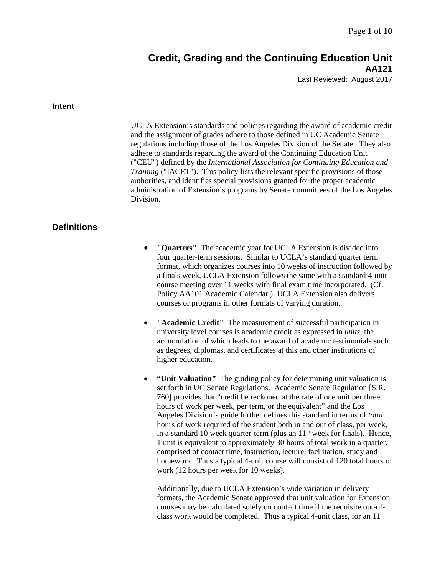Last Reviewed: August 2017

#### **Intent**

UCLA Extension's standards and policies regarding the award of academic credit and the assignment of grades adhere to those defined in UC Academic Senate regulations including those of the Los Angeles Division of the Senate. They also adhere to standards regarding the award of the Continuing Education Unit ("CEU") defined by the *International Association for Continuing Education and Training* ("IACET"). This policy lists the relevant specific provisions of those authorities, and identifies special provisions granted for the proper academic administration of Extension's programs by Senate committees of the Los Angeles Division.

# **Definitions**

- **"Quarters"** The academic year for UCLA Extension is divided into four quarter-term sessions. Similar to UCLA's standard quarter term format, which organizes courses into 10 weeks of instruction followed by a finals week, UCLA Extension follows the same with a standard 4-unit course meeting over 11 weeks with final exam time incorporated. (Cf. Policy AA101 Academic Calendar.) UCLA Extension also delivers courses or programs in other formats of varying duration.
- **"Academic Credit"** The measurement of successful participation in university level courses is academic credit as expressed in *units*, the accumulation of which leads to the award of academic testimonials such as degrees, diplomas, and certificates at this and other institutions of higher education.
- **"Unit Valuation"** The guiding policy for determining unit valuation is set forth in UC Senate Regulations. Academic Senate Regulation [S.R. 760] provides that "credit be reckoned at the rate of one unit per three hours of work per week, per term, or the equivalent" and the Los Angeles Division's guide further defines this standard in terms of *total* hours of work required of the student both in and out of class, per week, in a standard 10 week quarter-term (plus an  $11<sup>th</sup>$  week for finals). Hence, 1 unit is equivalent to approximately 30 hours of total work in a quarter, comprised of contact time, instruction, lecture, facilitation, study and homework. Thus a typical 4-unit course will consist of 120 total hours of work (12 hours per week for 10 weeks).

Additionally, due to UCLA Extension's wide variation in delivery formats, the Academic Senate approved that unit valuation for Extension courses may be calculated solely on contact time if the requisite out-ofclass work would be completed. Thus a typical 4-unit class, for an 11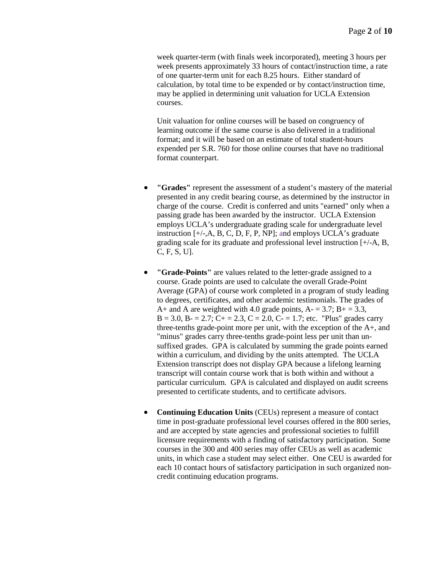week quarter-term (with finals week incorporated), meeting 3 hours per week presents approximately 33 hours of contact/instruction time, a rate of one quarter-term unit for each 8.25 hours. Either standard of calculation, by total time to be expended or by contact/instruction time, may be applied in determining unit valuation for UCLA Extension courses.

Unit valuation for online courses will be based on congruency of learning outcome if the same course is also delivered in a traditional format; and it will be based on an estimate of total student-hours expended per S.R. 760 for those online courses that have no traditional format counterpart.

- **"Grades"** represent the assessment of a student's mastery of the material presented in any credit bearing course, as determined by the instructor in charge of the course. Credit is conferred and units "earned" only when a passing grade has been awarded by the instructor. UCLA Extension employs UCLA's undergraduate grading scale for undergraduate level instruction [+/-,A, B, C, D, F, P, NP]; and employs UCLA's graduate grading scale for its graduate and professional level instruction [+/-A, B, C, F, S, U].
- **"Grade-Points"** are values related to the letter-grade assigned to a course. Grade points are used to calculate the overall Grade-Point Average (GPA) of course work completed in a program of study leading to degrees, certificates, and other academic testimonials. The grades of A+ and A are weighted with 4.0 grade points,  $A = 3.7$ ;  $B = 3.3$ ,  $B = 3.0$ ,  $B = 2.7$ ;  $C = 2.3$ ,  $C = 2.0$ ,  $C = 1.7$ ; etc. "Plus" grades carry three-tenths grade-point more per unit, with the exception of the A+, and "minus" grades carry three-tenths grade-point less per unit than unsuffixed grades. GPA is calculated by summing the grade points earned within a curriculum, and dividing by the units attempted. The UCLA Extension transcript does not display GPA because a lifelong learning transcript will contain course work that is both within and without a particular curriculum. GPA is calculated and displayed on audit screens presented to certificate students, and to certificate advisors.
- **Continuing Education Units** (CEUs) represent a measure of contact time in post-graduate professional level courses offered in the 800 series, and are accepted by state agencies and professional societies to fulfill licensure requirements with a finding of satisfactory participation. Some courses in the 300 and 400 series may offer CEUs as well as academic units, in which case a student may select either. One CEU is awarded for each 10 contact hours of satisfactory participation in such organized noncredit continuing education programs.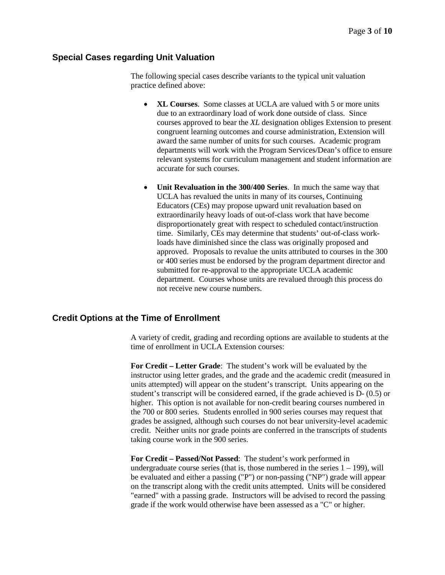## **Special Cases regarding Unit Valuation**

The following special cases describe variants to the typical unit valuation practice defined above:

- **XL Courses**. Some classes at UCLA are valued with 5 or more units due to an extraordinary load of work done outside of class. Since courses approved to bear the *XL* designation obliges Extension to present congruent learning outcomes and course administration, Extension will award the same number of units for such courses. Academic program departments will work with the Program Services/Dean's office to ensure relevant systems for curriculum management and student information are accurate for such courses.
- **Unit Revaluation in the 300/400 Series**. In much the same way that UCLA has revalued the units in many of its courses, Continuing Educators (CEs) may propose upward unit revaluation based on extraordinarily heavy loads of out-of-class work that have become disproportionately great with respect to scheduled contact/instruction time. Similarly, CEs may determine that students' out-of-class workloads have diminished since the class was originally proposed and approved. Proposals to revalue the units attributed to courses in the 300 or 400 series must be endorsed by the program department director and submitted for re-approval to the appropriate UCLA academic department. Courses whose units are revalued through this process do not receive new course numbers.

## **Credit Options at the Time of Enrollment**

A variety of credit, grading and recording options are available to students at the time of enrollment in UCLA Extension courses:

**For Credit – Letter Grade**: The student's work will be evaluated by the instructor using letter grades, and the grade and the academic credit (measured in units attempted) will appear on the student's transcript. Units appearing on the student's transcript will be considered earned, if the grade achieved is D- (0.5) or higher. This option is not available for non-credit bearing courses numbered in the 700 or 800 series. Students enrolled in 900 series courses may request that grades be assigned, although such courses do not bear university-level academic credit. Neither units nor grade points are conferred in the transcripts of students taking course work in the 900 series.

**For Credit – Passed/Not Passed**: The student's work performed in undergraduate course series (that is, those numbered in the series  $1 - 199$ ), will be evaluated and either a passing ("P") or non-passing ("NP") grade will appear on the transcript along with the credit units attempted. Units will be considered "earned" with a passing grade. Instructors will be advised to record the passing grade if the work would otherwise have been assessed as a "C" or higher.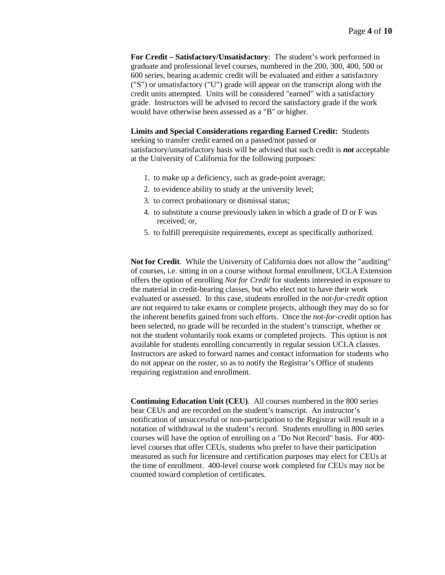**For Credit – Satisfactory/Unsatisfactory**: The student's work performed in graduate and professional level courses, numbered in the 200, 300, 400, 500 or 600 series, bearing academic credit will be evaluated and either a satisfactory ("S") or unsatisfactory ("U") grade will appear on the transcript along with the credit units attempted. Units will be considered "earned" with a satisfactory grade. Instructors will be advised to record the satisfactory grade if the work would have otherwise been assessed as a "B" or higher.

**Limits and Special Considerations regarding Earned Credit:** Students

seeking to transfer credit earned on a passed/not passed or satisfactory/unsatisfactory basis will be advised that such credit is *not* acceptable at the University of California for the following purposes:

- 1. to make up a deficiency, such as grade-point average;
- 2. to evidence ability to study at the university level;
- 3. to correct probationary or dismissal status;
- 4. to substitute a course previously taken in which a grade of D or F was received; or,
- 5. to fulfill prerequisite requirements, except as specifically authorized.

**Not for Credit**. While the University of California does not allow the "auditing" of courses, i.e. sitting in on a course without formal enrollment, UCLA Extension offers the option of enrolling *Not for Credit* for students interested in exposure to the material in credit-bearing classes, but who elect not to have their work evaluated or assessed. In this case, students enrolled in the *not-for-credit* option are not required to take exams or complete projects, although they may do so for the inherent benefits gained from such efforts. Once the *not-for-credit* option has been selected, no grade will be recorded in the student's transcript, whether or not the student voluntarily took exams or completed projects. This option is not available for students enrolling concurrently in regular session UCLA classes. Instructors are asked to forward names and contact information for students who do not appear on the roster, so as to notify the Registrar's Office of students requiring registration and enrollment.

**Continuing Education Unit (CEU)**. All courses numbered in the 800 series bear CEUs and are recorded on the student's transcript. An instructor's notification of unsuccessful or non-participation to the Registrar will result in a notation of withdrawal in the student's record. Students enrolling in 800 series courses will have the option of enrolling on a "Do Not Record" basis. For 400 level courses that offer CEUs, students who prefer to have their participation measured as such for licensure and certification purposes may elect for CEUs at the time of enrollment. 400-level course work completed for CEUs may not be counted toward completion of certificates.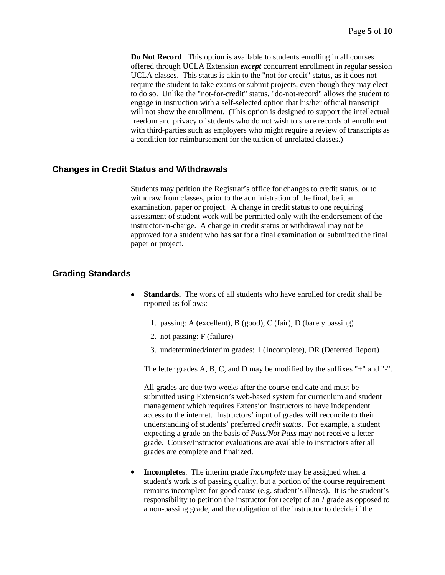**Do Not Record**. This option is available to students enrolling in all courses offered through UCLA Extension *except* concurrent enrollment in regular session UCLA classes. This status is akin to the "not for credit" status, as it does not require the student to take exams or submit projects, even though they may elect to do so. Unlike the "not-for-credit" status, "do-not-record" allows the student to engage in instruction with a self-selected option that his/her official transcript will not show the enrollment. (This option is designed to support the intellectual freedom and privacy of students who do not wish to share records of enrollment with third-parties such as employers who might require a review of transcripts as a condition for reimbursement for the tuition of unrelated classes.)

## **Changes in Credit Status and Withdrawals**

Students may petition the Registrar's office for changes to credit status, or to withdraw from classes, prior to the administration of the final, be it an examination, paper or project. A change in credit status to one requiring assessment of student work will be permitted only with the endorsement of the instructor-in-charge. A change in credit status or withdrawal may not be approved for a student who has sat for a final examination or submitted the final paper or project.

#### **Grading Standards**

- **Standards.** The work of all students who have enrolled for credit shall be reported as follows:
	- 1. passing: A (excellent), B (good), C (fair), D (barely passing)
	- 2. not passing: F (failure)
	- 3. undetermined/interim grades: I (Incomplete), DR (Deferred Report)

The letter grades A, B, C, and D may be modified by the suffixes "+" and "-".

All grades are due two weeks after the course end date and must be submitted using Extension's web-based system for curriculum and student management which requires Extension instructors to have independent access to the internet. Instructors' input of grades will reconcile to their understanding of students' preferred *credit status*. For example, a student expecting a grade on the basis of *Pass/Not Pass* may not receive a letter grade. Course/Instructor evaluations are available to instructors after all grades are complete and finalized.

• **Incompletes**. The interim grade *Incomplete* may be assigned when a student's work is of passing quality, but a portion of the course requirement remains incomplete for good cause (e.g. student's illness). It is the student's responsibility to petition the instructor for receipt of an *I* grade as opposed to a non-passing grade, and the obligation of the instructor to decide if the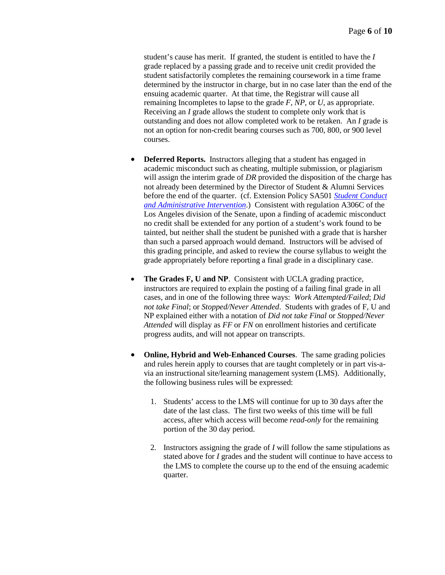student's cause has merit. If granted, the student is entitled to have the *I* grade replaced by a passing grade and to receive unit credit provided the student satisfactorily completes the remaining coursework in a time frame determined by the instructor in charge, but in no case later than the end of the ensuing academic quarter. At that time, the Registrar will cause all remaining Incompletes to lapse to the grade *F*, *NP*, or *U*, as appropriate. Receiving an *I* grade allows the student to complete only work that is outstanding and does not allow completed work to be retaken. An *I* grade is not an option for non-credit bearing courses such as 700, 800, or 900 level courses.

- **Deferred Reports.** Instructors alleging that a student has engaged in academic misconduct such as cheating, multiple submission, or plagiarism will assign the interim grade of *DR* provided the disposition of the charge has not already been determined by the Director of Student & Alumni Services before the end of the quarter. (cf. Extension Policy SA501 *[Student Conduct](https://intracon.uclaextension.edu/policies/SA501.htm)  [and Administrative Intervention](https://intracon.uclaextension.edu/policies/SA501.htm)*.) Consistent with regulation A306C of the Los Angeles division of the Senate, upon a finding of academic misconduct no credit shall be extended for any portion of a student's work found to be tainted, but neither shall the student be punished with a grade that is harsher than such a parsed approach would demand. Instructors will be advised of this grading principle, and asked to review the course syllabus to weight the grade appropriately before reporting a final grade in a disciplinary case.
- **The Grades F, U and NP**. Consistent with UCLA grading practice, instructors are required to explain the posting of a failing final grade in all cases, and in one of the following three ways: *Work Attempted/Failed*; *Did not take Final*; or *Stopped/Never Attended*. Students with grades of F, U and NP explained either with a notation of *Did not take Final* or *Stopped/Never Attended* will display as *FF* or *FN* on enrollment histories and certificate progress audits, and will not appear on transcripts.
- **Online, Hybrid and Web-Enhanced Courses**. The same grading policies and rules herein apply to courses that are taught completely or in part vis-avia an instructional site/learning management system (LMS). Additionally, the following business rules will be expressed:
	- 1. Students' access to the LMS will continue for up to 30 days after the date of the last class. The first two weeks of this time will be full access, after which access will become *read-only* for the remaining portion of the 30 day period.
	- 2. Instructors assigning the grade of *I* will follow the same stipulations as stated above for *I* grades and the student will continue to have access to the LMS to complete the course up to the end of the ensuing academic quarter.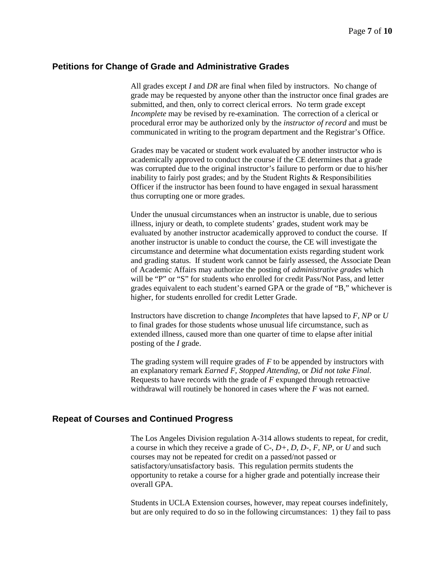#### **Petitions for Change of Grade and Administrative Grades**

All grades except *I* and *DR* are final when filed by instructors. No change of grade may be requested by anyone other than the instructor once final grades are submitted, and then, only to correct clerical errors. No term grade except *Incomplete* may be revised by re-examination. The correction of a clerical or procedural error may be authorized only by the *instructor of record* and must be communicated in writing to the program department and the Registrar's Office.

Grades may be vacated or student work evaluated by another instructor who is academically approved to conduct the course if the CE determines that a grade was corrupted due to the original instructor's failure to perform or due to his/her inability to fairly post grades; and by the Student Rights & Responsibilities Officer if the instructor has been found to have engaged in sexual harassment thus corrupting one or more grades.

Under the unusual circumstances when an instructor is unable, due to serious illness, injury or death, to complete students' grades, student work may be evaluated by another instructor academically approved to conduct the course. If another instructor is unable to conduct the course, the CE will investigate the circumstance and determine what documentation exists regarding student work and grading status. If student work cannot be fairly assessed, the Associate Dean of Academic Affairs may authorize the posting of *administrative grades* which will be "P" or "S" for students who enrolled for credit Pass/Not Pass, and letter grades equivalent to each student's earned GPA or the grade of "B," whichever is higher, for students enrolled for credit Letter Grade.

Instructors have discretion to change *Incompletes* that have lapsed to *F, NP* or *U* to final grades for those students whose unusual life circumstance, such as extended illness, caused more than one quarter of time to elapse after initial posting of the *I* grade.

The grading system will require grades of *F* to be appended by instructors with an explanatory remark *Earned F*, *Stopped Attending*, or *Did not take Final*. Requests to have records with the grade of *F* expunged through retroactive withdrawal will routinely be honored in cases where the *F* was not earned.

## **Repeat of Courses and Continued Progress**

The Los Angeles Division regulation A-314 allows students to repeat, for credit, a course in which they receive a grade of C-, *D+, D, D-, F, NP,* or *U* and such courses may not be repeated for credit on a passed/not passed or satisfactory/unsatisfactory basis. This regulation permits students the opportunity to retake a course for a higher grade and potentially increase their overall GPA.

Students in UCLA Extension courses, however, may repeat courses indefinitely, but are only required to do so in the following circumstances: 1) they fail to pass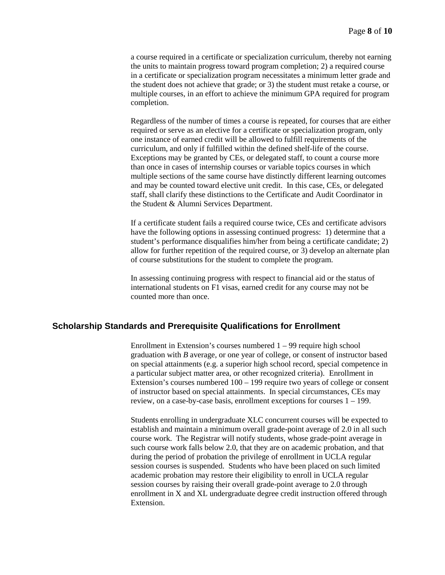a course required in a certificate or specialization curriculum, thereby not earning the units to maintain progress toward program completion; 2) a required course in a certificate or specialization program necessitates a minimum letter grade and the student does not achieve that grade; or 3) the student must retake a course, or multiple courses, in an effort to achieve the minimum GPA required for program completion.

Regardless of the number of times a course is repeated, for courses that are either required or serve as an elective for a certificate or specialization program, only one instance of earned credit will be allowed to fulfill requirements of the curriculum, and only if fulfilled within the defined shelf-life of the course. Exceptions may be granted by CEs, or delegated staff, to count a course more than once in cases of internship courses or variable topics courses in which multiple sections of the same course have distinctly different learning outcomes and may be counted toward elective unit credit. In this case, CEs, or delegated staff, shall clarify these distinctions to the Certificate and Audit Coordinator in the Student & Alumni Services Department.

If a certificate student fails a required course twice, CEs and certificate advisors have the following options in assessing continued progress: 1) determine that a student's performance disqualifies him/her from being a certificate candidate; 2) allow for further repetition of the required course, or 3) develop an alternate plan of course substitutions for the student to complete the program.

In assessing continuing progress with respect to financial aid or the status of international students on F1 visas, earned credit for any course may not be counted more than once.

#### **Scholarship Standards and Prerequisite Qualifications for Enrollment**

Enrollment in Extension's courses numbered  $1 - 99$  require high school graduation with *B* average, or one year of college, or consent of instructor based on special attainments (e.g. a superior high school record, special competence in a particular subject matter area, or other recognized criteria). Enrollment in Extension's courses numbered 100 – 199 require two years of college or consent of instructor based on special attainments. In special circumstances, CEs may review, on a case-by-case basis, enrollment exceptions for courses 1 – 199.

Students enrolling in undergraduate XLC concurrent courses will be expected to establish and maintain a minimum overall grade-point average of 2.0 in all such course work. The Registrar will notify students, whose grade-point average in such course work falls below 2.0, that they are on academic probation, and that during the period of probation the privilege of enrollment in UCLA regular session courses is suspended. Students who have been placed on such limited academic probation may restore their eligibility to enroll in UCLA regular session courses by raising their overall grade-point average to 2.0 through enrollment in X and XL undergraduate degree credit instruction offered through Extension.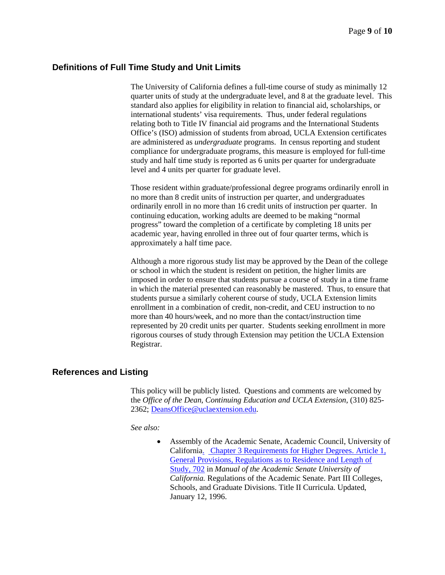## **Definitions of Full Time Study and Unit Limits**

The University of California defines a full-time course of study as minimally 12 quarter units of study at the undergraduate level, and 8 at the graduate level. This standard also applies for eligibility in relation to financial aid, scholarships, or international students' visa requirements. Thus, under federal regulations relating both to Title IV financial aid programs and the International Students Office's (ISO) admission of students from abroad, UCLA Extension certificates are administered as *undergraduate* programs. In census reporting and student compliance for undergraduate programs, this measure is employed for full-time study and half time study is reported as 6 units per quarter for undergraduate level and 4 units per quarter for graduate level.

Those resident within graduate/professional degree programs ordinarily enroll in no more than 8 credit units of instruction per quarter, and undergraduates ordinarily enroll in no more than 16 credit units of instruction per quarter. In continuing education, working adults are deemed to be making "normal progress" toward the completion of a certificate by completing 18 units per academic year, having enrolled in three out of four quarter terms, which is approximately a half time pace.

Although a more rigorous study list may be approved by the Dean of the college or school in which the student is resident on petition, the higher limits are imposed in order to ensure that students pursue a course of study in a time frame in which the material presented can reasonably be mastered. Thus, to ensure that students pursue a similarly coherent course of study, UCLA Extension limits enrollment in a combination of credit, non-credit, and CEU instruction to no more than 40 hours/week, and no more than the contact/instruction time represented by 20 credit units per quarter. Students seeking enrollment in more rigorous courses of study through Extension may petition the UCLA Extension Registrar.

## **References and Listing**

This policy will be publicly listed. Questions and comments are welcomed by the *Office of the Dean*, *Continuing Education and UCLA Extension*, (310) 825- 2362; [DeansOffice@uclaextension.edu.](mailto:DeansOffice@uclaextension.edu)

*See also:*

• Assembly of the Academic Senate, Academic Council, University of California. Chapter 3 Requirements for Higher Degrees. Article 1, [General Provisions, Regulations as to Residence and Length of](http://www.universityofcalifornia.edu/senate/manual/rpart3.html#r696)  Study, 702 in *[Manual of the Academic Senate University of](http://www.universityofcalifornia.edu/senate/manual/rpart3.html#r696)  California.* [Regulations of the Academic Senate. Part III Colleges,](http://www.universityofcalifornia.edu/senate/manual/rpart3.html#r696)  [Schools, and Graduate Divisions. Title II Curricula. Updated,](http://www.universityofcalifornia.edu/senate/manual/rpart3.html#r696)  [January 12, 1996.](http://www.universityofcalifornia.edu/senate/manual/rpart3.html#r696)